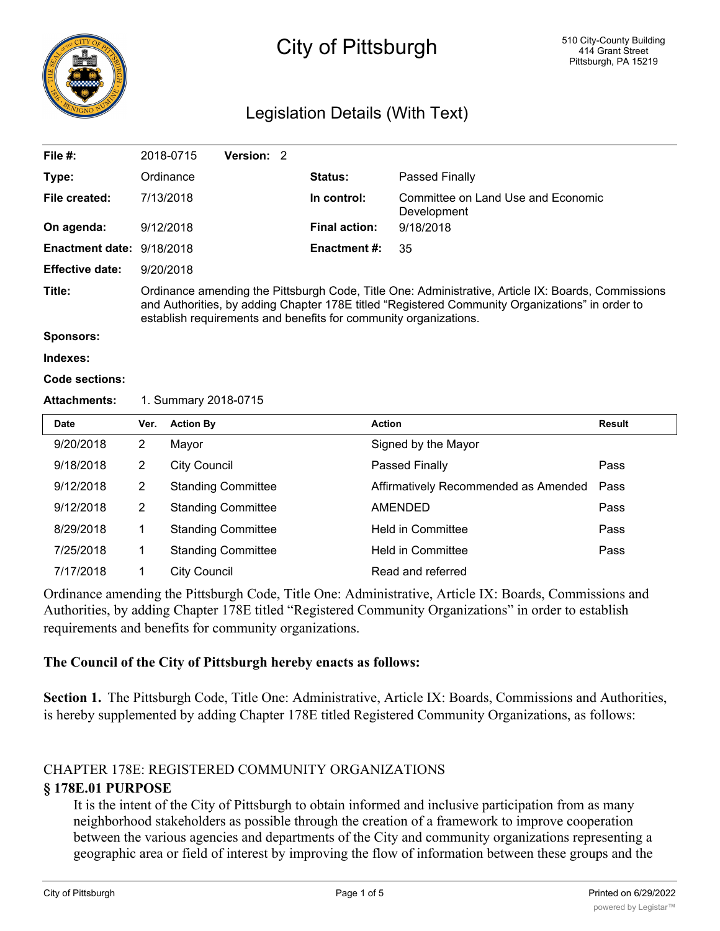

# City of Pittsburgh

# Legislation Details (With Text)

| File $#$ :                | 2018-0715                                                                                                                                                                                                                                                                 | Version: 2 |  |                      |                                                   |  |  |
|---------------------------|---------------------------------------------------------------------------------------------------------------------------------------------------------------------------------------------------------------------------------------------------------------------------|------------|--|----------------------|---------------------------------------------------|--|--|
| Type:                     | Ordinance                                                                                                                                                                                                                                                                 |            |  | <b>Status:</b>       | Passed Finally                                    |  |  |
| File created:             | 7/13/2018                                                                                                                                                                                                                                                                 |            |  | In control:          | Committee on Land Use and Economic<br>Development |  |  |
| On agenda:                | 9/12/2018                                                                                                                                                                                                                                                                 |            |  | <b>Final action:</b> | 9/18/2018                                         |  |  |
| Enactment date: 9/18/2018 |                                                                                                                                                                                                                                                                           |            |  | <b>Enactment #:</b>  | 35                                                |  |  |
| <b>Effective date:</b>    | 9/20/2018                                                                                                                                                                                                                                                                 |            |  |                      |                                                   |  |  |
| Title:                    | Ordinance amending the Pittsburgh Code, Title One: Administrative, Article IX: Boards, Commissions<br>and Authorities, by adding Chapter 178E titled "Registered Community Organizations" in order to<br>establish requirements and benefits for community organizations. |            |  |                      |                                                   |  |  |

**Sponsors:**

```
Indexes:
```

```
Code sections:
```
#### **Attachments:** 1. Summary 2018-0715

| <b>Date</b> | Ver. | <b>Action By</b>          | <b>Action</b>                        | Result |
|-------------|------|---------------------------|--------------------------------------|--------|
| 9/20/2018   | 2    | Mayor                     | Signed by the Mayor                  |        |
| 9/18/2018   | 2    | <b>City Council</b>       | Passed Finally                       | Pass   |
| 9/12/2018   | 2    | <b>Standing Committee</b> | Affirmatively Recommended as Amended | Pass   |
| 9/12/2018   | 2    | <b>Standing Committee</b> | <b>AMENDED</b>                       | Pass   |
| 8/29/2018   |      | <b>Standing Committee</b> | <b>Held in Committee</b>             | Pass   |
| 7/25/2018   |      | <b>Standing Committee</b> | <b>Held in Committee</b>             | Pass   |
| 7/17/2018   |      | <b>City Council</b>       | Read and referred                    |        |

Ordinance amending the Pittsburgh Code, Title One: Administrative, Article IX: Boards, Commissions and Authorities, by adding Chapter 178E titled "Registered Community Organizations" in order to establish requirements and benefits for community organizations.

#### **The Council of the City of Pittsburgh hereby enacts as follows:**

**Section 1.** The Pittsburgh Code, Title One: Administrative, Article IX: Boards, Commissions and Authorities, is hereby supplemented by adding Chapter 178E titled Registered Community Organizations, as follows:

# CHAPTER 178E: REGISTERED COMMUNITY ORGANIZATIONS

#### **§ 178E.01 PURPOSE**

It is the intent of the City of Pittsburgh to obtain informed and inclusive participation from as many neighborhood stakeholders as possible through the creation of a framework to improve cooperation between the various agencies and departments of the City and community organizations representing a geographic area or field of interest by improving the flow of information between these groups and the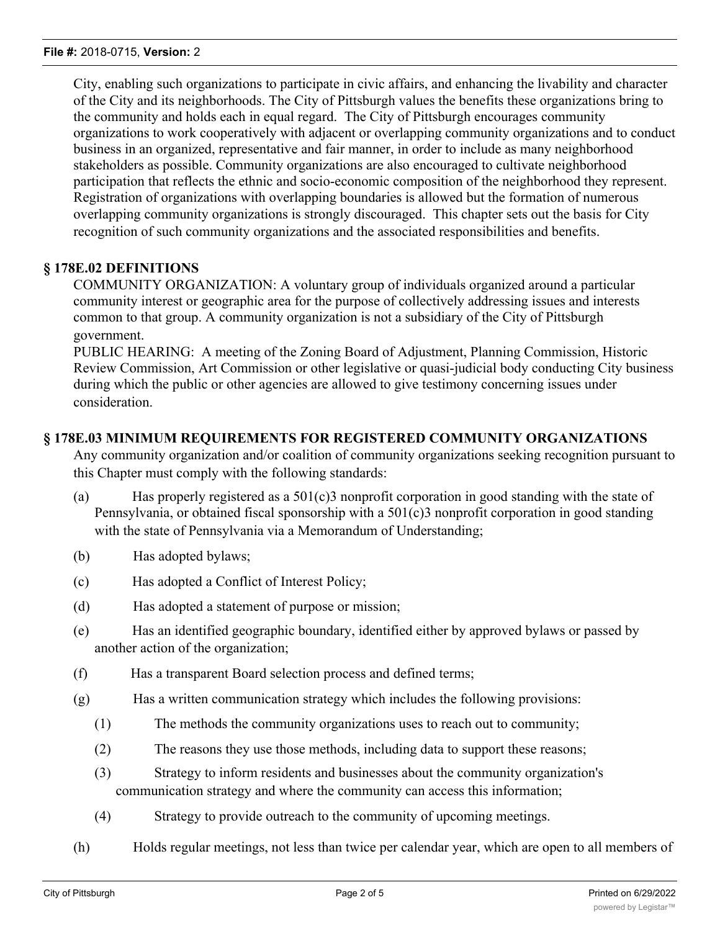City, enabling such organizations to participate in civic affairs, and enhancing the livability and character of the City and its neighborhoods. The City of Pittsburgh values the benefits these organizations bring to the community and holds each in equal regard. The City of Pittsburgh encourages community organizations to work cooperatively with adjacent or overlapping community organizations and to conduct business in an organized, representative and fair manner, in order to include as many neighborhood stakeholders as possible. Community organizations are also encouraged to cultivate neighborhood participation that reflects the ethnic and socio-economic composition of the neighborhood they represent. Registration of organizations with overlapping boundaries is allowed but the formation of numerous overlapping community organizations is strongly discouraged. This chapter sets out the basis for City recognition of such community organizations and the associated responsibilities and benefits.

## **§ 178E.02 DEFINITIONS**

COMMUNITY ORGANIZATION: A voluntary group of individuals organized around a particular community interest or geographic area for the purpose of collectively addressing issues and interests common to that group. A community organization is not a subsidiary of the City of Pittsburgh government.

PUBLIC HEARING: A meeting of the Zoning Board of Adjustment, Planning Commission, Historic Review Commission, Art Commission or other legislative or quasi-judicial body conducting City business during which the public or other agencies are allowed to give testimony concerning issues under consideration.

#### **§ 178E.03 MINIMUM REQUIREMENTS FOR REGISTERED COMMUNITY ORGANIZATIONS**

Any community organization and/or coalition of community organizations seeking recognition pursuant to this Chapter must comply with the following standards:

- (a) Has properly registered as a 501(c)3 nonprofit corporation in good standing with the state of Pennsylvania, or obtained fiscal sponsorship with a 501(c)3 nonprofit corporation in good standing with the state of Pennsylvania via a Memorandum of Understanding;
- (b) Has adopted bylaws;
- (c) Has adopted a Conflict of Interest Policy;
- (d) Has adopted a statement of purpose or mission;
- (e) Has an identified geographic boundary, identified either by approved bylaws or passed by another action of the organization;
- (f) Has a transparent Board selection process and defined terms;
- (g) Has a written communication strategy which includes the following provisions:
	- (1) The methods the community organizations uses to reach out to community;
	- (2) The reasons they use those methods, including data to support these reasons;
	- (3) Strategy to inform residents and businesses about the community organization's communication strategy and where the community can access this information;
	- (4) Strategy to provide outreach to the community of upcoming meetings.
- (h) Holds regular meetings, not less than twice per calendar year, which are open to all members of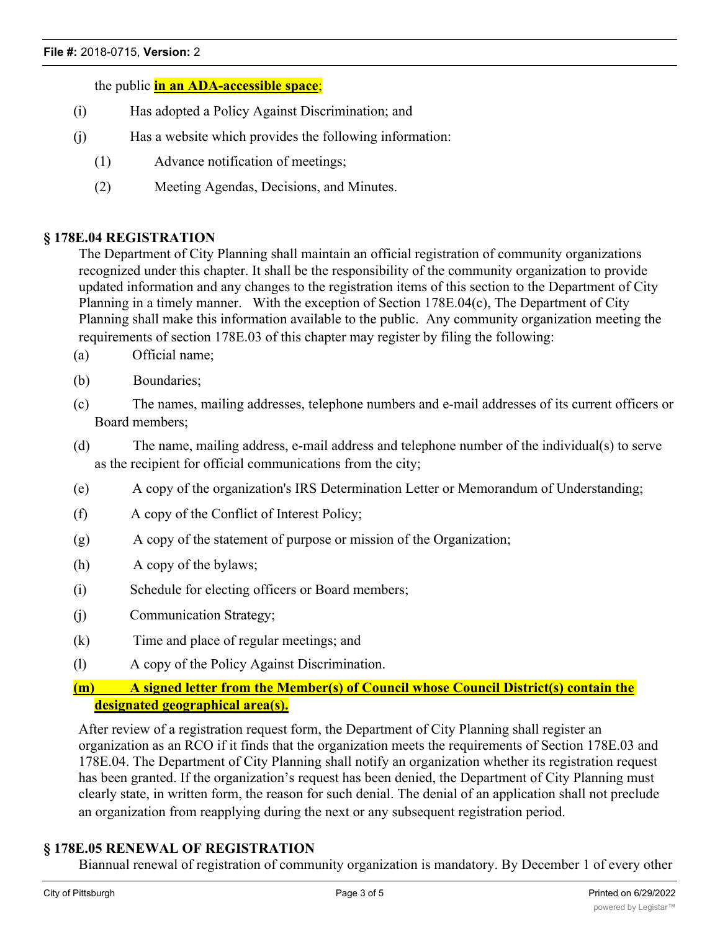the public **in an ADA-accessible space**;

- (i) Has adopted a Policy Against Discrimination; and
- (j) Has a website which provides the following information:
	- (1) Advance notification of meetings;
	- (2) Meeting Agendas, Decisions, and Minutes.

#### **§ 178E.04 REGISTRATION**

The Department of City Planning shall maintain an official registration of community organizations recognized under this chapter. It shall be the responsibility of the community organization to provide updated information and any changes to the registration items of this section to the Department of City Planning in a timely manner. With the exception of Section 178E.04(c), The Department of City Planning shall make this information available to the public. Any community organization meeting the requirements of section 178E.03 of this chapter may register by filing the following:

- (a) Official name;
- (b) Boundaries;
- (c) The names, mailing addresses, telephone numbers and e-mail addresses of its current officers or Board members;
- (d) The name, mailing address, e-mail address and telephone number of the individual(s) to serve as the recipient for official communications from the city;
- (e) A copy of the organization's IRS Determination Letter or Memorandum of Understanding;
- (f) A copy of the Conflict of Interest Policy;
- (g) A copy of the statement of purpose or mission of the Organization;
- (h) A copy of the bylaws;
- (i) Schedule for electing officers or Board members;
- (j) Communication Strategy;
- (k) Time and place of regular meetings; and
- (l) A copy of the Policy Against Discrimination.

## **(m) A signed letter from the Member(s) of Council whose Council District(s) contain the designated geographical area(s).**

After review of a registration request form, the Department of City Planning shall register an organization as an RCO if it finds that the organization meets the requirements of Section 178E.03 and 178E.04. The Department of City Planning shall notify an organization whether its registration request has been granted. If the organization's request has been denied, the Department of City Planning must clearly state, in written form, the reason for such denial. The denial of an application shall not preclude an organization from reapplying during the next or any subsequent registration period.

## **§ 178E.05 RENEWAL OF REGISTRATION**

Biannual renewal of registration of community organization is mandatory. By December 1 of every other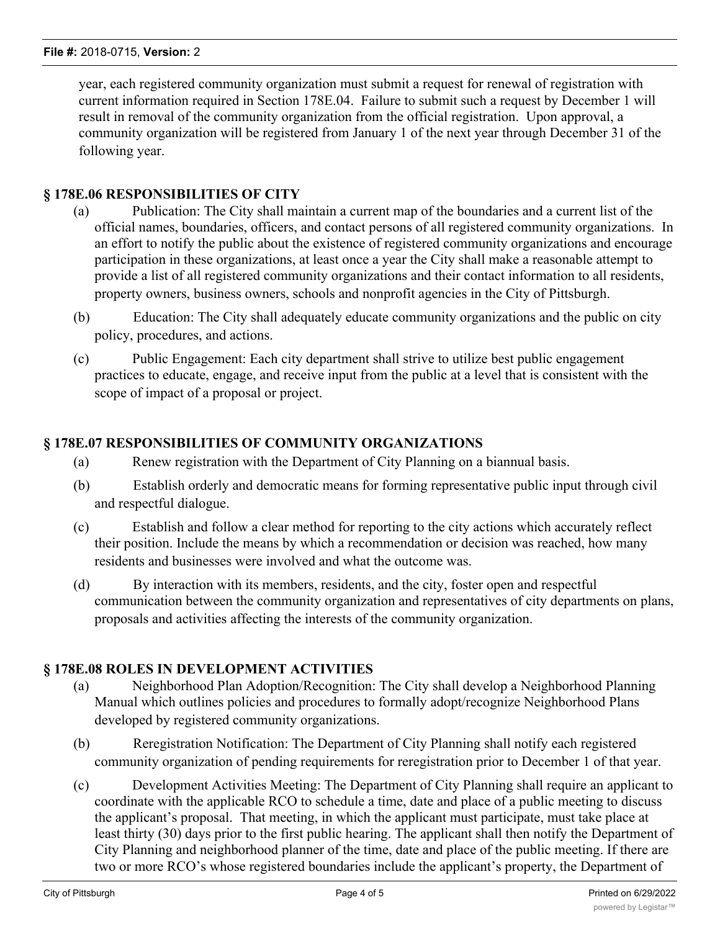year, each registered community organization must submit a request for renewal of registration with current information required in Section 178E.04. Failure to submit such a request by December 1 will result in removal of the community organization from the official registration. Upon approval, a community organization will be registered from January 1 of the next year through December 31 of the following year.

## **§ 178E.06 RESPONSIBILITIES OF CITY**

- (a) Publication: The City shall maintain a current map of the boundaries and a current list of the official names, boundaries, officers, and contact persons of all registered community organizations. In an effort to notify the public about the existence of registered community organizations and encourage participation in these organizations, at least once a year the City shall make a reasonable attempt to provide a list of all registered community organizations and their contact information to all residents, property owners, business owners, schools and nonprofit agencies in the City of Pittsburgh.
- (b) Education: The City shall adequately educate community organizations and the public on city policy, procedures, and actions.
- (c) Public Engagement: Each city department shall strive to utilize best public engagement practices to educate, engage, and receive input from the public at a level that is consistent with the scope of impact of a proposal or project.

# **§ 178E.07 RESPONSIBILITIES OF COMMUNITY ORGANIZATIONS**

- (a) Renew registration with the Department of City Planning on a biannual basis.
- (b) Establish orderly and democratic means for forming representative public input through civil and respectful dialogue.
- (c) Establish and follow a clear method for reporting to the city actions which accurately reflect their position. Include the means by which a recommendation or decision was reached, how many residents and businesses were involved and what the outcome was.
- (d) By interaction with its members, residents, and the city, foster open and respectful communication between the community organization and representatives of city departments on plans, proposals and activities affecting the interests of the community organization.

# **§ 178E.08 ROLES IN DEVELOPMENT ACTIVITIES**

- (a) Neighborhood Plan Adoption/Recognition: The City shall develop a Neighborhood Planning Manual which outlines policies and procedures to formally adopt/recognize Neighborhood Plans developed by registered community organizations.
- (b) Reregistration Notification: The Department of City Planning shall notify each registered community organization of pending requirements for reregistration prior to December 1 of that year.
- (c) Development Activities Meeting: The Department of City Planning shall require an applicant to coordinate with the applicable RCO to schedule a time, date and place of a public meeting to discuss the applicant's proposal. That meeting, in which the applicant must participate, must take place at least thirty (30) days prior to the first public hearing. The applicant shall then notify the Department of City Planning and neighborhood planner of the time, date and place of the public meeting. If there are two or more RCO's whose registered boundaries include the applicant's property, the Department of